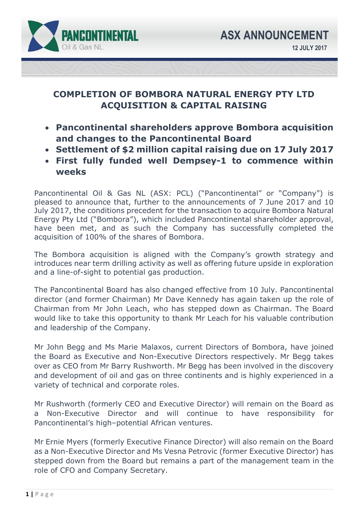

# **COMPLETION OF BOMBORA NATURAL ENERGY PTY LTD ACQUISITION & CAPITAL RAISING**

- **Pancontinental shareholders approve Bombora acquisition and changes to the Pancontinental Board**
- **Settlement of \$2 million capital raising due on 17 July 2017**
- **First fully funded well Dempsey-1 to commence within weeks**

Pancontinental Oil & Gas NL (ASX: PCL) ("Pancontinental" or "Company") is pleased to announce that, further to the announcements of 7 June 2017 and 10 July 2017, the conditions precedent for the transaction to acquire Bombora Natural Energy Pty Ltd ("Bombora"), which included Pancontinental shareholder approval, have been met, and as such the Company has successfully completed the acquisition of 100% of the shares of Bombora.

The Bombora acquisition is aligned with the Company's growth strategy and introduces near term drilling activity as well as offering future upside in exploration and a line-of-sight to potential gas production.

The Pancontinental Board has also changed effective from 10 July. Pancontinental director (and former Chairman) Mr Dave Kennedy has again taken up the role of Chairman from Mr John Leach, who has stepped down as Chairman. The Board would like to take this opportunity to thank Mr Leach for his valuable contribution and leadership of the Company.

Mr John Begg and Ms Marie Malaxos, current Directors of Bombora, have joined the Board as Executive and Non-Executive Directors respectively. Mr Begg takes over as CEO from Mr Barry Rushworth. Mr Begg has been involved in the discovery and development of oil and gas on three continents and is highly experienced in a variety of technical and corporate roles.

Mr Rushworth (formerly CEO and Executive Director) will remain on the Board as a Non-Executive Director and will continue to have responsibility for Pancontinental's high–potential African ventures.

Mr Ernie Myers (formerly Executive Finance Director) will also remain on the Board as a Non-Executive Director and Ms Vesna Petrovic (former Executive Director) has stepped down from the Board but remains a part of the management team in the role of CFO and Company Secretary.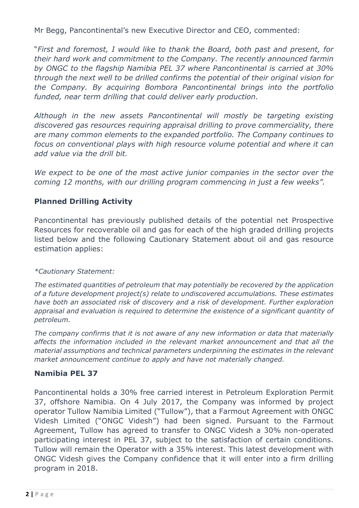Mr Begg, Pancontinental's new Executive Director and CEO, commented:

"*First and foremost, I would like to thank the Board, both past and present, for their hard work and commitment to the Company. The recently announced farmin by ONGC to the flagship Namibia PEL 37 where Pancontinental is carried at 30% through the next well to be drilled confirms the potential of their original vision for the Company. By acquiring Bombora Pancontinental brings into the portfolio funded, near term drilling that could deliver early production.* 

*Although in the new assets Pancontinental will mostly be targeting existing discovered gas resources requiring appraisal drilling to prove commerciality, there are many common elements to the expanded portfolio. The Company continues to focus on conventional plays with high resource volume potential and where it can add value via the drill bit.* 

We expect to be one of the most active junior companies in the sector over the *coming 12 months, with our drilling program commencing in just a few weeks".* 

## **Planned Drilling Activity**

Pancontinental has previously published details of the potential net Prospective Resources for recoverable oil and gas for each of the high graded drilling projects listed below and the following Cautionary Statement about oil and gas resource estimation applies:

#### *\*Cautionary Statement:*

*The estimated quantities of petroleum that may potentially be recovered by the application of a future development project(s) relate to undiscovered accumulations. These estimates have both an associated risk of discovery and a risk of development. Further exploration appraisal and evaluation is required to determine the existence of a significant quantity of petroleum.* 

*The company confirms that it is not aware of any new information or data that materially affects the information included in the relevant market announcement and that all the material assumptions and technical parameters underpinning the estimates in the relevant market announcement continue to apply and have not materially changed.* 

## **Namibia PEL 37**

Pancontinental holds a 30% free carried interest in Petroleum Exploration Permit 37, offshore Namibia. On 4 July 2017, the Company was informed by project operator Tullow Namibia Limited ("Tullow"), that a Farmout Agreement with ONGC Videsh Limited ("ONGC Videsh") had been signed. Pursuant to the Farmout Agreement, Tullow has agreed to transfer to ONGC Videsh a 30% non-operated participating interest in PEL 37, subject to the satisfaction of certain conditions. Tullow will remain the Operator with a 35% interest. This latest development with ONGC Videsh gives the Company confidence that it will enter into a firm drilling program in 2018.